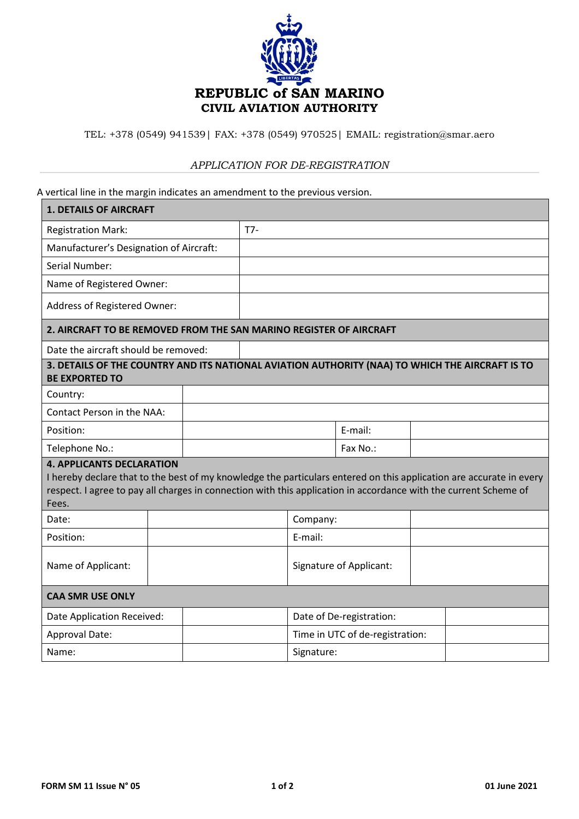

TEL: +378 (0549) 941539| FAX: +378 (0549) 970525| EMAIL: registration@smar.aero

## *APPLICATION FOR DE-REGISTRATION*

A vertical line in the margin indicates an amendment to the previous version.

| <b>1. DETAILS OF AIRCRAFT</b>                                                                                                                                                                                                                                                        |  |  |                         |                                 |          |  |  |
|--------------------------------------------------------------------------------------------------------------------------------------------------------------------------------------------------------------------------------------------------------------------------------------|--|--|-------------------------|---------------------------------|----------|--|--|
| <b>Registration Mark:</b>                                                                                                                                                                                                                                                            |  |  | $T7-$                   |                                 |          |  |  |
| Manufacturer's Designation of Aircraft:                                                                                                                                                                                                                                              |  |  |                         |                                 |          |  |  |
| Serial Number:                                                                                                                                                                                                                                                                       |  |  |                         |                                 |          |  |  |
| Name of Registered Owner:                                                                                                                                                                                                                                                            |  |  |                         |                                 |          |  |  |
| Address of Registered Owner:                                                                                                                                                                                                                                                         |  |  |                         |                                 |          |  |  |
| 2. AIRCRAFT TO BE REMOVED FROM THE SAN MARINO REGISTER OF AIRCRAFT                                                                                                                                                                                                                   |  |  |                         |                                 |          |  |  |
| Date the aircraft should be removed:                                                                                                                                                                                                                                                 |  |  |                         |                                 |          |  |  |
| 3. DETAILS OF THE COUNTRY AND ITS NATIONAL AVIATION AUTHORITY (NAA) TO WHICH THE AIRCRAFT IS TO<br><b>BE EXPORTED TO</b>                                                                                                                                                             |  |  |                         |                                 |          |  |  |
| Country:                                                                                                                                                                                                                                                                             |  |  |                         |                                 |          |  |  |
| Contact Person in the NAA:                                                                                                                                                                                                                                                           |  |  |                         |                                 |          |  |  |
| Position:                                                                                                                                                                                                                                                                            |  |  |                         |                                 | E-mail:  |  |  |
| Telephone No.:                                                                                                                                                                                                                                                                       |  |  |                         |                                 | Fax No.: |  |  |
| <b>4. APPLICANTS DECLARATION</b><br>I hereby declare that to the best of my knowledge the particulars entered on this application are accurate in every<br>respect. I agree to pay all charges in connection with this application in accordance with the current Scheme of<br>Fees. |  |  |                         |                                 |          |  |  |
| Date:                                                                                                                                                                                                                                                                                |  |  |                         | Company:                        |          |  |  |
| Position:                                                                                                                                                                                                                                                                            |  |  |                         | E-mail:                         |          |  |  |
| Name of Applicant:                                                                                                                                                                                                                                                                   |  |  | Signature of Applicant: |                                 |          |  |  |
| <b>CAA SMR USE ONLY</b>                                                                                                                                                                                                                                                              |  |  |                         |                                 |          |  |  |
| Date Application Received:                                                                                                                                                                                                                                                           |  |  |                         | Date of De-registration:        |          |  |  |
| Approval Date:                                                                                                                                                                                                                                                                       |  |  |                         | Time in UTC of de-registration: |          |  |  |
| Name:                                                                                                                                                                                                                                                                                |  |  |                         | Signature:                      |          |  |  |